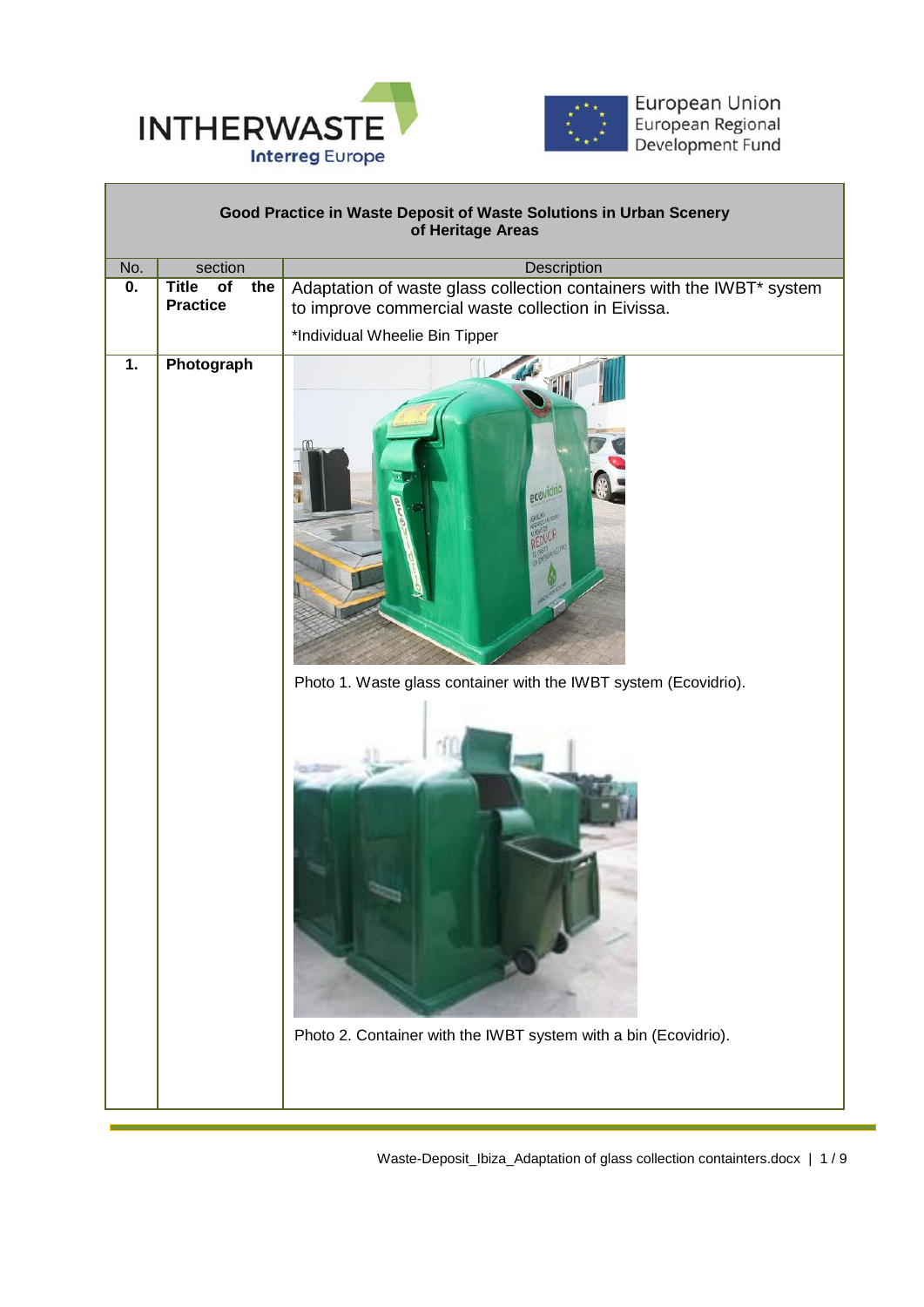



|                           |                                                           | Good Practice in Waste Deposit of Waste Solutions in Urban Scenery<br>of Heritage Areas                                                                       |  |  |  |  |  |  |
|---------------------------|-----------------------------------------------------------|---------------------------------------------------------------------------------------------------------------------------------------------------------------|--|--|--|--|--|--|
| No.                       | section                                                   | Description                                                                                                                                                   |  |  |  |  |  |  |
| $\overline{\mathbf{0}}$ . | <b>Title</b><br>$\overline{of}$<br>the<br><b>Practice</b> | Adaptation of waste glass collection containers with the IWBT* system<br>to improve commercial waste collection in Eivissa.<br>*Individual Wheelie Bin Tipper |  |  |  |  |  |  |
| 1.                        | Photograph                                                | ecovidric<br>Photo 1. Waste glass container with the IWBT system (Ecovidrio).<br>Photo 2. Container with the IWBT system with a bin (Ecovidrio).              |  |  |  |  |  |  |

Waste-Deposit\_Ibiza\_Adaptation of glass collection containters.docx | 1 / 9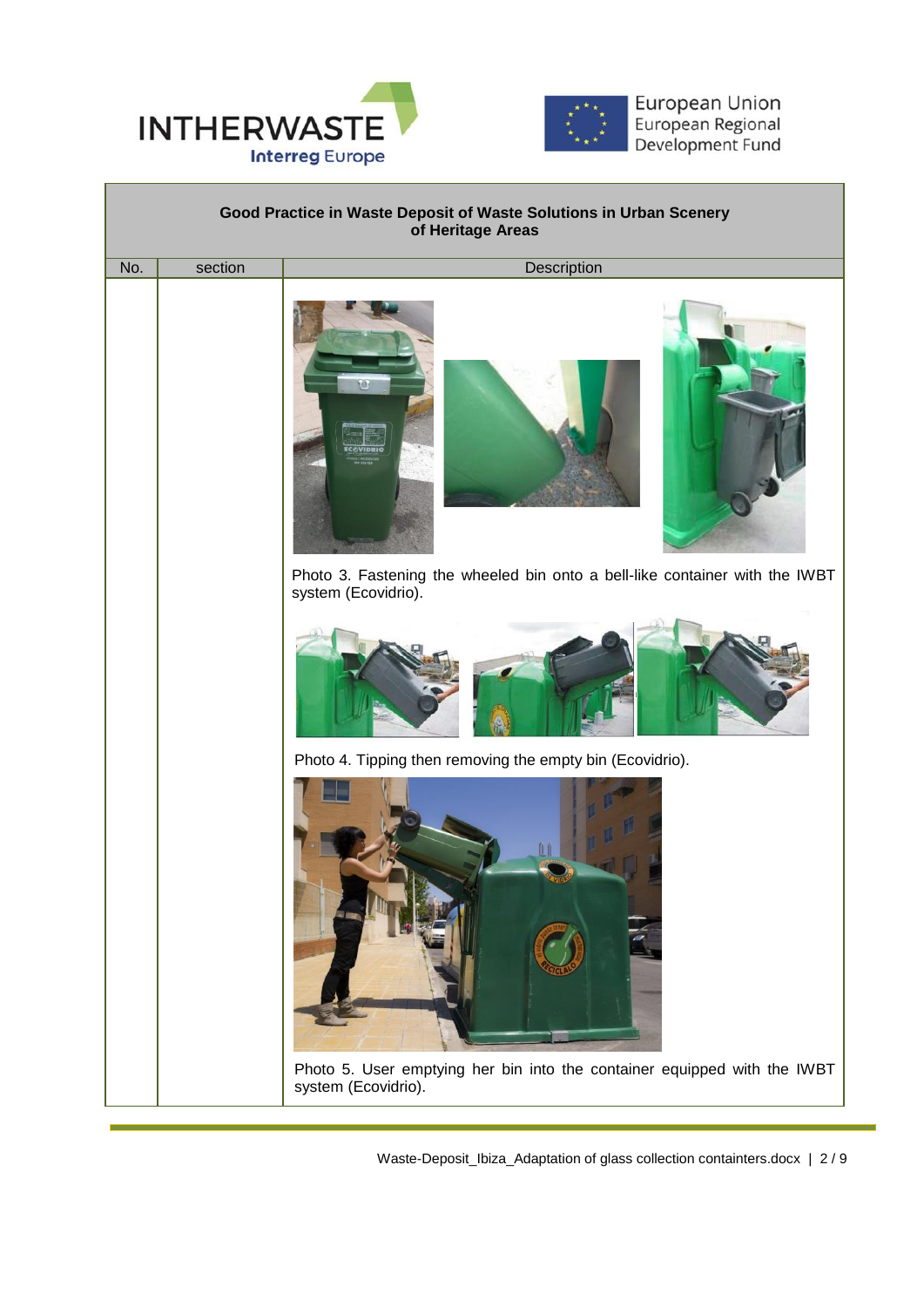



European Union European Regional Development Fund



Waste-Deposit\_Ibiza\_Adaptation of glass collection containters.docx | 2 / 9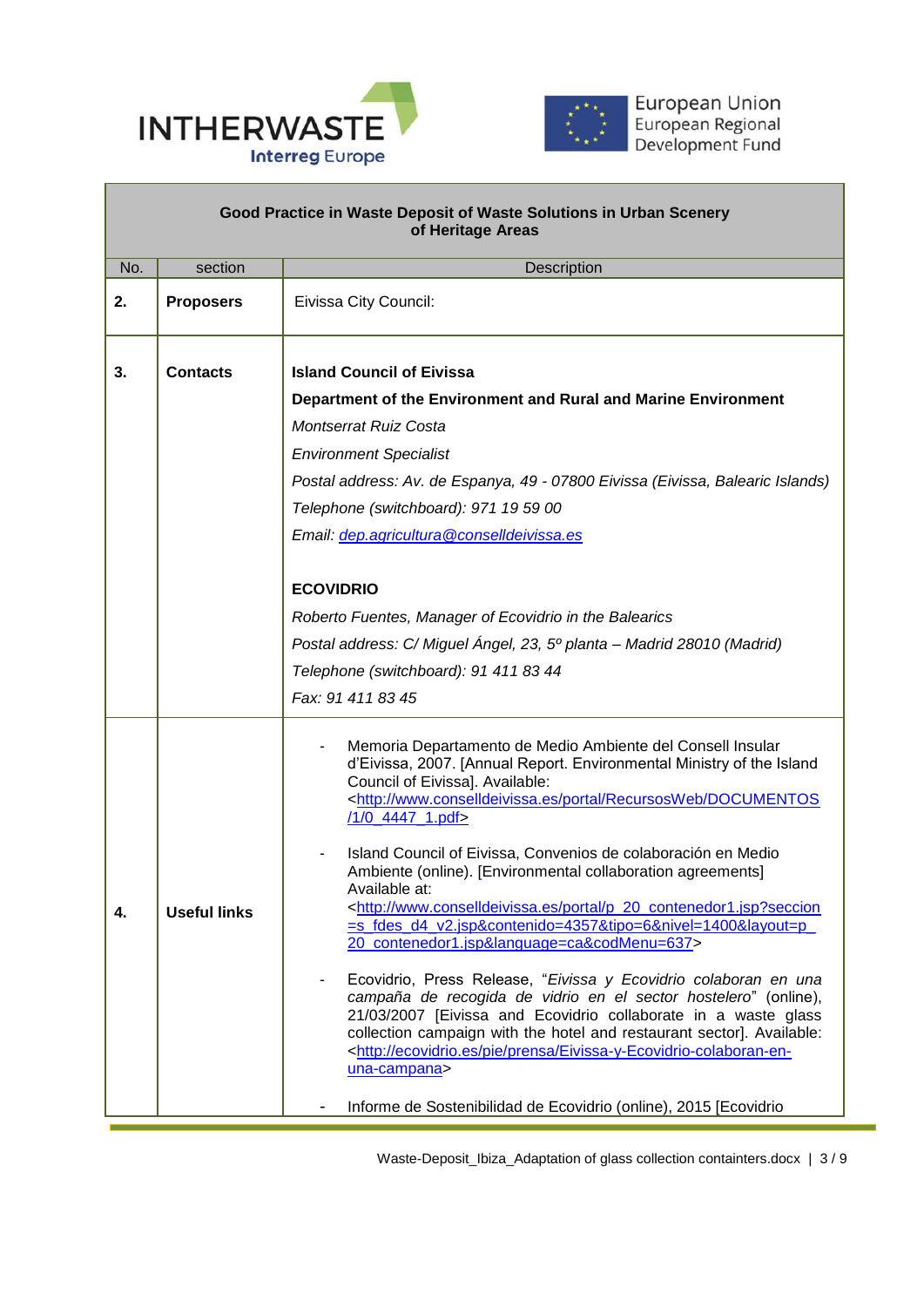



| Good Practice in Waste Deposit of Waste Solutions in Urban Scenery<br>of Heritage Areas |                     |                                                                                                                                                                                                                                                                                                                                                                                                                                                                                                                                                                                                                                                                                                                                                                                                                                                                                                                                                                                                                                                                                                                                              |  |  |  |  |
|-----------------------------------------------------------------------------------------|---------------------|----------------------------------------------------------------------------------------------------------------------------------------------------------------------------------------------------------------------------------------------------------------------------------------------------------------------------------------------------------------------------------------------------------------------------------------------------------------------------------------------------------------------------------------------------------------------------------------------------------------------------------------------------------------------------------------------------------------------------------------------------------------------------------------------------------------------------------------------------------------------------------------------------------------------------------------------------------------------------------------------------------------------------------------------------------------------------------------------------------------------------------------------|--|--|--|--|
| No.                                                                                     | section             | Description                                                                                                                                                                                                                                                                                                                                                                                                                                                                                                                                                                                                                                                                                                                                                                                                                                                                                                                                                                                                                                                                                                                                  |  |  |  |  |
| 2.                                                                                      | <b>Proposers</b>    | Eivissa City Council:                                                                                                                                                                                                                                                                                                                                                                                                                                                                                                                                                                                                                                                                                                                                                                                                                                                                                                                                                                                                                                                                                                                        |  |  |  |  |
| 3.                                                                                      | <b>Contacts</b>     | <b>Island Council of Eivissa</b><br>Department of the Environment and Rural and Marine Environment<br><b>Montserrat Ruiz Costa</b><br><b>Environment Specialist</b><br>Postal address: Av. de Espanya, 49 - 07800 Eivissa (Eivissa, Balearic Islands)<br>Telephone (switchboard): 971 19 59 00<br>Email: dep.agricultura@conselldeivissa.es<br><b>ECOVIDRIO</b><br>Roberto Fuentes, Manager of Ecovidrio in the Balearics<br>Postal address: C/ Miguel Ángel, 23, 5º planta – Madrid 28010 (Madrid)<br>Telephone (switchboard): 91 411 83 44<br>Fax: 91 411 83 45                                                                                                                                                                                                                                                                                                                                                                                                                                                                                                                                                                            |  |  |  |  |
| 4.                                                                                      | <b>Useful links</b> | Memoria Departamento de Medio Ambiente del Consell Insular<br>d'Eivissa, 2007. [Annual Report. Environmental Ministry of the Island<br>Council of Eivissa]. Available:<br><http: documentos<br="" portal="" recursosweb="" www.conselldeivissa.es="">/1/0_4447_1.pdf&gt;<br/>Island Council of Eivissa, Convenios de colaboración en Medio<br/>Ambiente (online). [Environmental collaboration agreements]<br/>Available at:<br/><http: p_20_contenedor1.jsp?seccion<br="" portal="" www.conselldeivissa.es="">=s_fdes_d4_v2.jsp&amp;contenido=4357&amp;tipo=6&amp;nivel=1400&amp;layout=p_<br/>20 contenedor1.jsp&amp;language=ca&amp;codMenu=637&gt;<br/>Ecovidrio, Press Release, "Eivissa y Ecovidrio colaboran en una<br/>campaña de recogida de vidrio en el sector hostelero" (online),<br/>21/03/2007 [Eivissa and Ecovidrio collaborate in a waste glass<br/>collection campaign with the hotel and restaurant sector]. Available:<br/><http: ecovidrio.es="" eivissa-y-ecovidrio-colaboran-en-<br="" pie="" prensa="">una-campana&gt;<br/>Informe de Sostenibilidad de Ecovidrio (online), 2015 [Ecovidrio</http:></http:></http:> |  |  |  |  |

Waste-Deposit\_Ibiza\_Adaptation of glass collection containters.docx | 3 / 9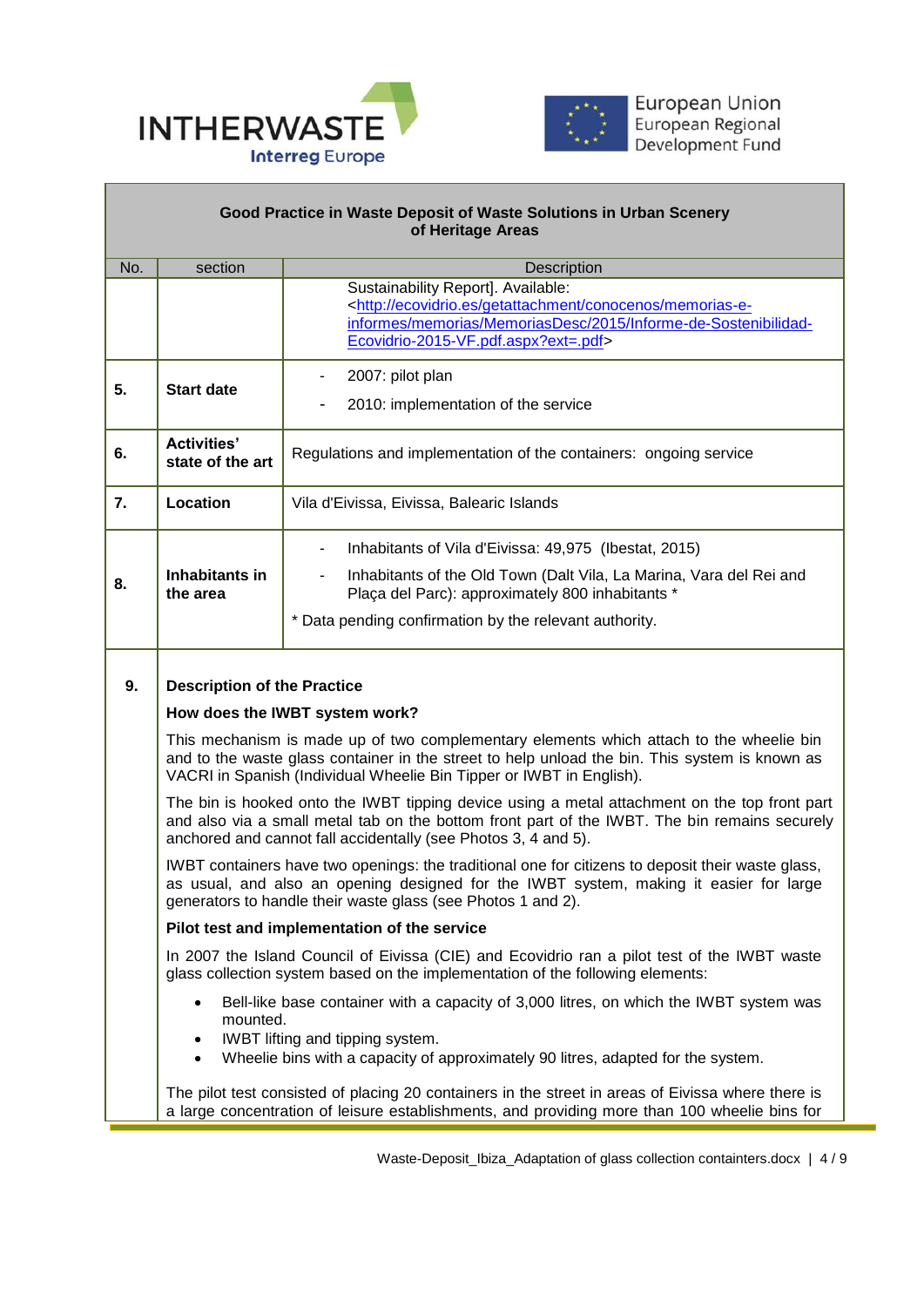



## **Good Practice in Waste Deposit of Waste Solutions in Urban Scenery of Heritage Areas**

 $\overline{a}$ 

| No. | section                                                                                                                                                                                                                                                          | Description                                                                                                                                                                                                                                                       |  |  |  |  |  |  |
|-----|------------------------------------------------------------------------------------------------------------------------------------------------------------------------------------------------------------------------------------------------------------------|-------------------------------------------------------------------------------------------------------------------------------------------------------------------------------------------------------------------------------------------------------------------|--|--|--|--|--|--|
|     |                                                                                                                                                                                                                                                                  | Sustainability Report]. Available:<br><http: conocenos="" ecovidrio.es="" getattachment="" memorias-e-<="" th=""></http:>                                                                                                                                         |  |  |  |  |  |  |
|     |                                                                                                                                                                                                                                                                  | informes/memorias/MemoriasDesc/2015/Informe-de-Sostenibilidad-                                                                                                                                                                                                    |  |  |  |  |  |  |
|     |                                                                                                                                                                                                                                                                  | Ecovidrio-2015-VF.pdf.aspx?ext=.pdf>                                                                                                                                                                                                                              |  |  |  |  |  |  |
|     |                                                                                                                                                                                                                                                                  |                                                                                                                                                                                                                                                                   |  |  |  |  |  |  |
| 5.  | <b>Start date</b>                                                                                                                                                                                                                                                | 2007: pilot plan<br>$\overline{\phantom{a}}$                                                                                                                                                                                                                      |  |  |  |  |  |  |
|     | 2010: implementation of the service                                                                                                                                                                                                                              |                                                                                                                                                                                                                                                                   |  |  |  |  |  |  |
| 6.  | <b>Activities'</b><br>state of the art                                                                                                                                                                                                                           | Regulations and implementation of the containers: ongoing service                                                                                                                                                                                                 |  |  |  |  |  |  |
|     |                                                                                                                                                                                                                                                                  |                                                                                                                                                                                                                                                                   |  |  |  |  |  |  |
| 7.  | Location                                                                                                                                                                                                                                                         | Vila d'Eivissa, Eivissa, Balearic Islands                                                                                                                                                                                                                         |  |  |  |  |  |  |
|     |                                                                                                                                                                                                                                                                  | Inhabitants of Vila d'Eivissa: 49,975 (Ibestat, 2015)<br>$\overline{\phantom{a}}$                                                                                                                                                                                 |  |  |  |  |  |  |
| 8.  | Inhabitants in<br>the area                                                                                                                                                                                                                                       | Inhabitants of the Old Town (Dalt Vila, La Marina, Vara del Rei and<br>$\overline{\phantom{a}}$<br>Plaça del Parc): approximately 800 inhabitants *                                                                                                               |  |  |  |  |  |  |
|     |                                                                                                                                                                                                                                                                  | * Data pending confirmation by the relevant authority.                                                                                                                                                                                                            |  |  |  |  |  |  |
|     |                                                                                                                                                                                                                                                                  |                                                                                                                                                                                                                                                                   |  |  |  |  |  |  |
| 9.  | <b>Description of the Practice</b>                                                                                                                                                                                                                               |                                                                                                                                                                                                                                                                   |  |  |  |  |  |  |
|     | How does the IWBT system work?                                                                                                                                                                                                                                   |                                                                                                                                                                                                                                                                   |  |  |  |  |  |  |
|     |                                                                                                                                                                                                                                                                  | This mechanism is made up of two complementary elements which attach to the wheelie bin<br>and to the waste glass container in the street to help unload the bin. This system is known as<br>VACRI in Spanish (Individual Wheelie Bin Tipper or IWBT in English). |  |  |  |  |  |  |
|     | The bin is hooked onto the IWBT tipping device using a metal attachment on the top front part<br>and also via a small metal tab on the bottom front part of the IWBT. The bin remains securely<br>anchored and cannot fall accidentally (see Photos 3, 4 and 5). |                                                                                                                                                                                                                                                                   |  |  |  |  |  |  |
|     | IWBT containers have two openings: the traditional one for citizens to deposit their waste glass,<br>as usual, and also an opening designed for the IWBT system, making it easier for large<br>generators to handle their waste glass (see Photos 1 and 2).      |                                                                                                                                                                                                                                                                   |  |  |  |  |  |  |
|     | Pilot test and implementation of the service                                                                                                                                                                                                                     |                                                                                                                                                                                                                                                                   |  |  |  |  |  |  |
|     |                                                                                                                                                                                                                                                                  | In 2007 the Island Council of Eivissa (CIE) and Ecovidrio ran a pilot test of the IWBT waste<br>glass collection system based on the implementation of the following elements:                                                                                    |  |  |  |  |  |  |
|     | ٠<br>mounted.                                                                                                                                                                                                                                                    | Bell-like base container with a capacity of 3,000 litres, on which the IWBT system was                                                                                                                                                                            |  |  |  |  |  |  |
|     | ٠                                                                                                                                                                                                                                                                | IWBT lifting and tipping system.                                                                                                                                                                                                                                  |  |  |  |  |  |  |
|     | $\bullet$                                                                                                                                                                                                                                                        | Wheelie bins with a capacity of approximately 90 litres, adapted for the system.                                                                                                                                                                                  |  |  |  |  |  |  |
|     |                                                                                                                                                                                                                                                                  | The pilot test consisted of placing 20 containers in the street in areas of Eivissa where there is<br>a large concentration of leisure establishments, and providing more than 100 wheelie bins for                                                               |  |  |  |  |  |  |
|     |                                                                                                                                                                                                                                                                  |                                                                                                                                                                                                                                                                   |  |  |  |  |  |  |

۳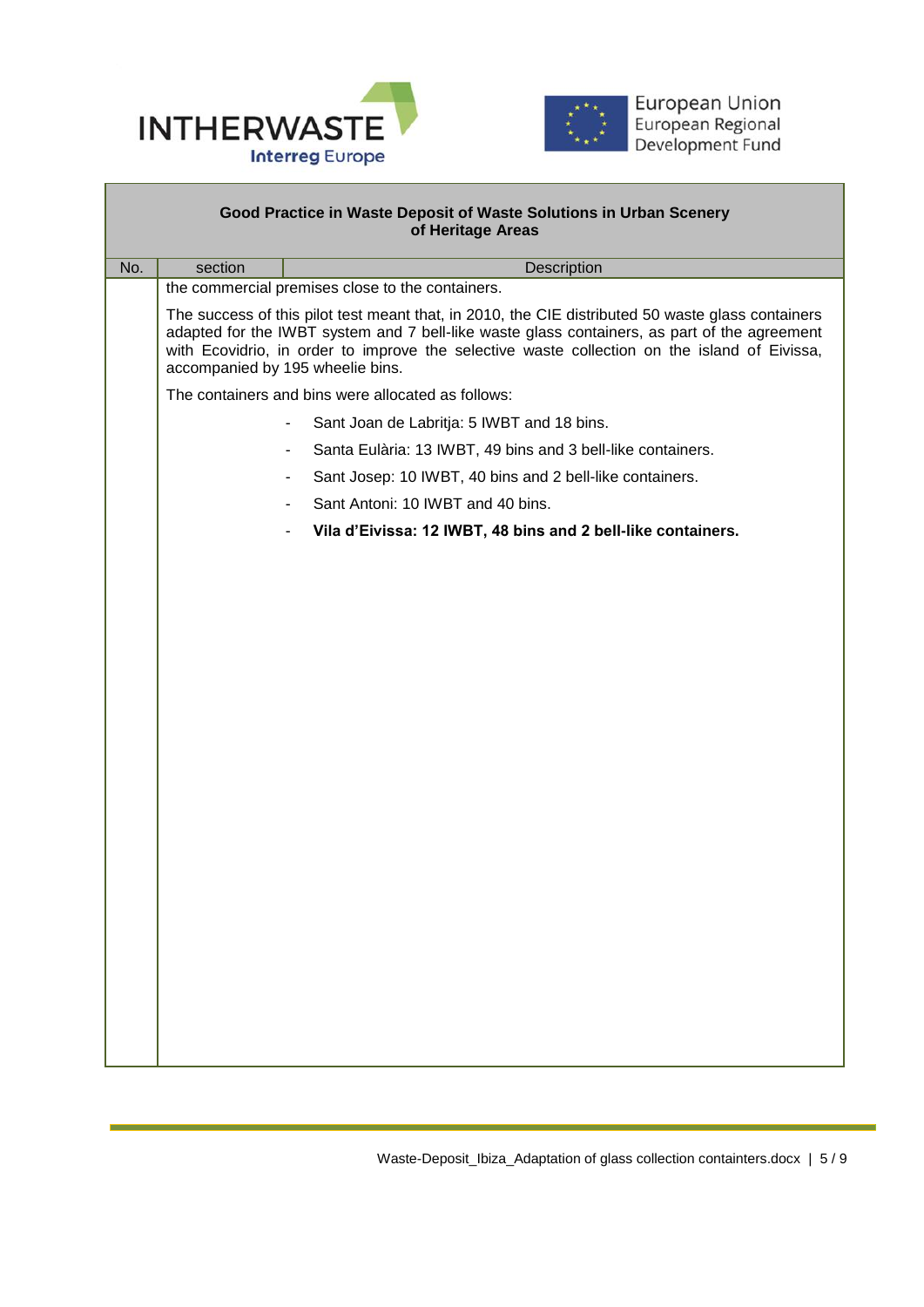



|     |                                                                                                                                                                                                                                                                                                                                       | Good Practice in Waste Deposit of Waste Solutions in Urban Scenery<br>of Heritage Areas |  |  |  |  |  |  |
|-----|---------------------------------------------------------------------------------------------------------------------------------------------------------------------------------------------------------------------------------------------------------------------------------------------------------------------------------------|-----------------------------------------------------------------------------------------|--|--|--|--|--|--|
| No. | section<br>Description                                                                                                                                                                                                                                                                                                                |                                                                                         |  |  |  |  |  |  |
|     | the commercial premises close to the containers.                                                                                                                                                                                                                                                                                      |                                                                                         |  |  |  |  |  |  |
|     | The success of this pilot test meant that, in 2010, the CIE distributed 50 waste glass containers<br>adapted for the IWBT system and 7 bell-like waste glass containers, as part of the agreement<br>with Ecovidrio, in order to improve the selective waste collection on the island of Eivissa,<br>accompanied by 195 wheelie bins. |                                                                                         |  |  |  |  |  |  |
|     | The containers and bins were allocated as follows:                                                                                                                                                                                                                                                                                    |                                                                                         |  |  |  |  |  |  |
|     | Sant Joan de Labritja: 5 IWBT and 18 bins.                                                                                                                                                                                                                                                                                            |                                                                                         |  |  |  |  |  |  |
|     |                                                                                                                                                                                                                                                                                                                                       | Santa Eulària: 13 IWBT, 49 bins and 3 bell-like containers.<br>$\overline{\phantom{a}}$ |  |  |  |  |  |  |
|     |                                                                                                                                                                                                                                                                                                                                       | Sant Josep: 10 IWBT, 40 bins and 2 bell-like containers.<br>$\overline{\phantom{a}}$    |  |  |  |  |  |  |
|     |                                                                                                                                                                                                                                                                                                                                       | Sant Antoni: 10 IWBT and 40 bins.                                                       |  |  |  |  |  |  |
|     |                                                                                                                                                                                                                                                                                                                                       | Vila d'Eivissa: 12 IWBT, 48 bins and 2 bell-like containers.                            |  |  |  |  |  |  |
|     |                                                                                                                                                                                                                                                                                                                                       |                                                                                         |  |  |  |  |  |  |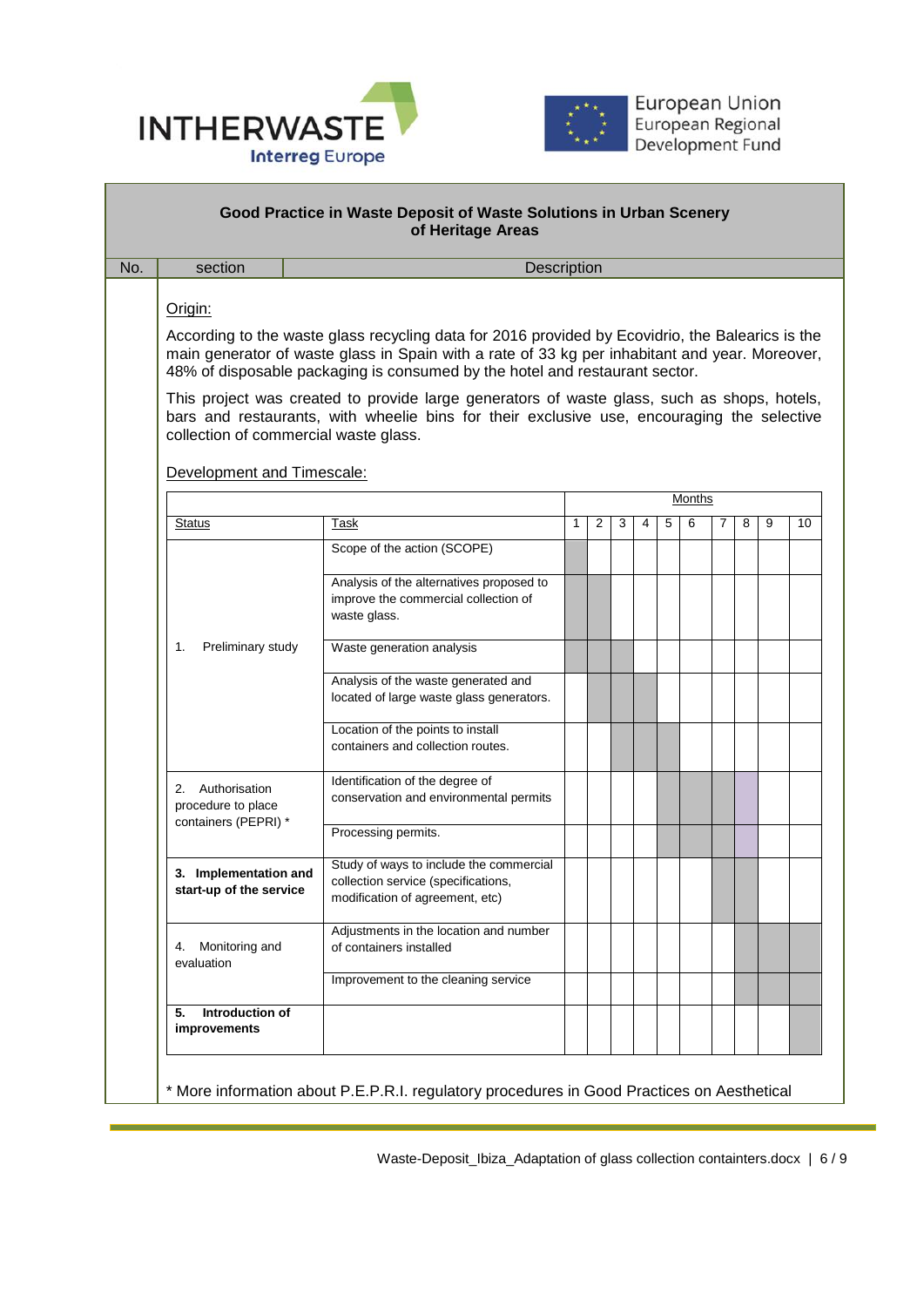



| section                                          | Description                                                                                                                                                                                                                                                                       |   |   |   |   |   |        |   |   |   |  |
|--------------------------------------------------|-----------------------------------------------------------------------------------------------------------------------------------------------------------------------------------------------------------------------------------------------------------------------------------|---|---|---|---|---|--------|---|---|---|--|
| Origin:                                          |                                                                                                                                                                                                                                                                                   |   |   |   |   |   |        |   |   |   |  |
|                                                  |                                                                                                                                                                                                                                                                                   |   |   |   |   |   |        |   |   |   |  |
|                                                  | According to the waste glass recycling data for 2016 provided by Ecovidrio, the Balearics is the<br>main generator of waste glass in Spain with a rate of 33 kg per inhabitant and year. Moreover,<br>48% of disposable packaging is consumed by the hotel and restaurant sector. |   |   |   |   |   |        |   |   |   |  |
| collection of commercial waste glass.            | This project was created to provide large generators of waste glass, such as shops, hotels,<br>bars and restaurants, with wheelie bins for their exclusive use, encouraging the selective                                                                                         |   |   |   |   |   |        |   |   |   |  |
| Development and Timescale:                       |                                                                                                                                                                                                                                                                                   |   |   |   |   |   |        |   |   |   |  |
|                                                  |                                                                                                                                                                                                                                                                                   |   |   |   |   |   | Months |   |   |   |  |
| Status                                           | Task                                                                                                                                                                                                                                                                              | 1 | 2 | 3 | 4 | 5 | 6      | 7 | 8 | 9 |  |
|                                                  | Scope of the action (SCOPE)                                                                                                                                                                                                                                                       |   |   |   |   |   |        |   |   |   |  |
|                                                  | Analysis of the alternatives proposed to<br>improve the commercial collection of<br>waste glass.                                                                                                                                                                                  |   |   |   |   |   |        |   |   |   |  |
| Preliminary study<br>1.                          | Waste generation analysis                                                                                                                                                                                                                                                         |   |   |   |   |   |        |   |   |   |  |
|                                                  |                                                                                                                                                                                                                                                                                   |   |   |   |   |   |        |   |   |   |  |
|                                                  | Analysis of the waste generated and<br>located of large waste glass generators.                                                                                                                                                                                                   |   |   |   |   |   |        |   |   |   |  |
|                                                  | Location of the points to install<br>containers and collection routes.                                                                                                                                                                                                            |   |   |   |   |   |        |   |   |   |  |
| 2. Authorisation<br>procedure to place           | Identification of the degree of<br>conservation and environmental permits                                                                                                                                                                                                         |   |   |   |   |   |        |   |   |   |  |
| containers (PEPRI) *                             | Processing permits.                                                                                                                                                                                                                                                               |   |   |   |   |   |        |   |   |   |  |
| 3. Implementation and<br>start-up of the service | Study of ways to include the commercial<br>collection service (specifications,<br>modification of agreement, etc)                                                                                                                                                                 |   |   |   |   |   |        |   |   |   |  |
| Monitoring and<br>4.<br>evaluation               | Adjustments in the location and number<br>of containers installed                                                                                                                                                                                                                 |   |   |   |   |   |        |   |   |   |  |
|                                                  | Improvement to the cleaning service                                                                                                                                                                                                                                               |   |   |   |   |   |        |   |   |   |  |
| Introduction of<br>5.<br>improvements            |                                                                                                                                                                                                                                                                                   |   |   |   |   |   |        |   |   |   |  |

Waste-Deposit\_Ibiza\_Adaptation of glass collection containters.docx | 6 / 9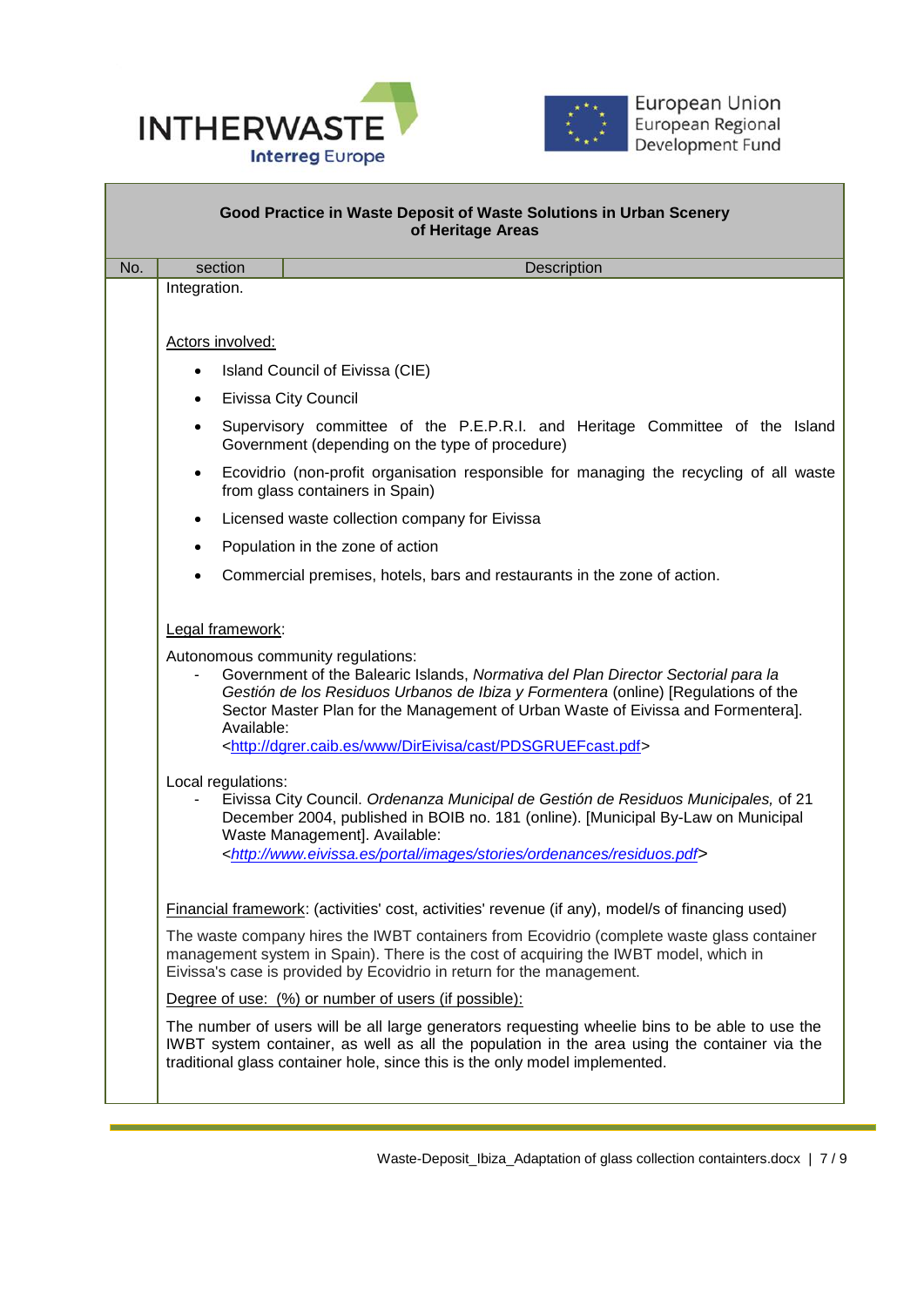



| Good Practice in Waste Deposit of Waste Solutions in Urban Scenery<br>of Heritage Areas |                                                                                                                                                                                                                                                                                                                                                                                                                                                                                                                                                                                                                                                                                                                                                                  |                                                                                                                                                                                                                                                                               |  |  |  |  |
|-----------------------------------------------------------------------------------------|------------------------------------------------------------------------------------------------------------------------------------------------------------------------------------------------------------------------------------------------------------------------------------------------------------------------------------------------------------------------------------------------------------------------------------------------------------------------------------------------------------------------------------------------------------------------------------------------------------------------------------------------------------------------------------------------------------------------------------------------------------------|-------------------------------------------------------------------------------------------------------------------------------------------------------------------------------------------------------------------------------------------------------------------------------|--|--|--|--|
| No.                                                                                     | section                                                                                                                                                                                                                                                                                                                                                                                                                                                                                                                                                                                                                                                                                                                                                          | Description                                                                                                                                                                                                                                                                   |  |  |  |  |
|                                                                                         | Integration.                                                                                                                                                                                                                                                                                                                                                                                                                                                                                                                                                                                                                                                                                                                                                     |                                                                                                                                                                                                                                                                               |  |  |  |  |
|                                                                                         | Actors involved:                                                                                                                                                                                                                                                                                                                                                                                                                                                                                                                                                                                                                                                                                                                                                 |                                                                                                                                                                                                                                                                               |  |  |  |  |
|                                                                                         | $\bullet$                                                                                                                                                                                                                                                                                                                                                                                                                                                                                                                                                                                                                                                                                                                                                        | Island Council of Eivissa (CIE)                                                                                                                                                                                                                                               |  |  |  |  |
|                                                                                         | $\bullet$                                                                                                                                                                                                                                                                                                                                                                                                                                                                                                                                                                                                                                                                                                                                                        | <b>Eivissa City Council</b>                                                                                                                                                                                                                                                   |  |  |  |  |
|                                                                                         | $\bullet$                                                                                                                                                                                                                                                                                                                                                                                                                                                                                                                                                                                                                                                                                                                                                        | Supervisory committee of the P.E.P.R.I. and Heritage Committee of the Island<br>Government (depending on the type of procedure)                                                                                                                                               |  |  |  |  |
|                                                                                         | $\bullet$                                                                                                                                                                                                                                                                                                                                                                                                                                                                                                                                                                                                                                                                                                                                                        | Ecovidrio (non-profit organisation responsible for managing the recycling of all waste<br>from glass containers in Spain)                                                                                                                                                     |  |  |  |  |
|                                                                                         | ٠                                                                                                                                                                                                                                                                                                                                                                                                                                                                                                                                                                                                                                                                                                                                                                | Licensed waste collection company for Eivissa                                                                                                                                                                                                                                 |  |  |  |  |
|                                                                                         | $\bullet$                                                                                                                                                                                                                                                                                                                                                                                                                                                                                                                                                                                                                                                                                                                                                        | Population in the zone of action                                                                                                                                                                                                                                              |  |  |  |  |
|                                                                                         |                                                                                                                                                                                                                                                                                                                                                                                                                                                                                                                                                                                                                                                                                                                                                                  | Commercial premises, hotels, bars and restaurants in the zone of action.                                                                                                                                                                                                      |  |  |  |  |
|                                                                                         | Legal framework:<br>Autonomous community regulations:<br>Government of the Balearic Islands, Normativa del Plan Director Sectorial para la<br>Gestión de los Residuos Urbanos de Ibiza y Formentera (online) [Regulations of the<br>Sector Master Plan for the Management of Urban Waste of Eivissa and Formentera].<br>Available:<br><http: cast="" dgrer.caib.es="" direivisa="" pdsgruefcast.pdf="" www=""><br/>Local regulations:<br/>Eivissa City Council. Ordenanza Municipal de Gestión de Residuos Municipales, of 21<br/>December 2004, published in BOIB no. 181 (online). [Municipal By-Law on Municipal<br/>Waste Management]. Available:<br/><http: images="" ordenances="" portal="" residuos.pdf="" stories="" www.eivissa.es=""></http:></http:> |                                                                                                                                                                                                                                                                               |  |  |  |  |
|                                                                                         |                                                                                                                                                                                                                                                                                                                                                                                                                                                                                                                                                                                                                                                                                                                                                                  | Financial framework: (activities' cost, activities' revenue (if any), model/s of financing used)                                                                                                                                                                              |  |  |  |  |
|                                                                                         | The waste company hires the IWBT containers from Ecovidrio (complete waste glass container<br>management system in Spain). There is the cost of acquiring the IWBT model, which in<br>Eivissa's case is provided by Ecovidrio in return for the management.                                                                                                                                                                                                                                                                                                                                                                                                                                                                                                      |                                                                                                                                                                                                                                                                               |  |  |  |  |
|                                                                                         |                                                                                                                                                                                                                                                                                                                                                                                                                                                                                                                                                                                                                                                                                                                                                                  | Degree of use: (%) or number of users (if possible):                                                                                                                                                                                                                          |  |  |  |  |
|                                                                                         |                                                                                                                                                                                                                                                                                                                                                                                                                                                                                                                                                                                                                                                                                                                                                                  | The number of users will be all large generators requesting wheelie bins to be able to use the<br>IWBT system container, as well as all the population in the area using the container via the<br>traditional glass container hole, since this is the only model implemented. |  |  |  |  |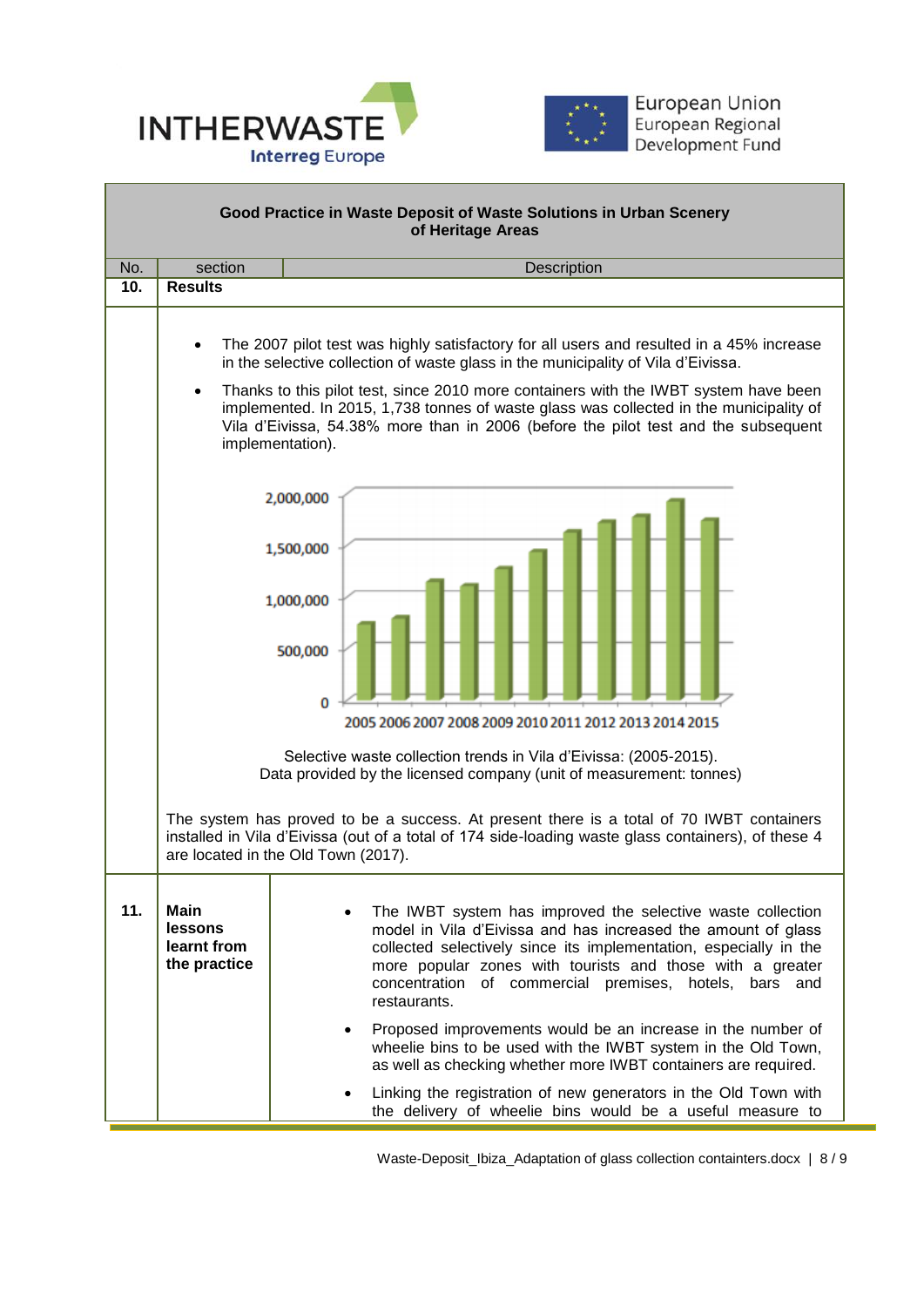



| Good Practice in Waste Deposit of Waste Solutions in Urban Scenery<br>of Heritage Areas |                                                                                                                                                                                                                                                                                                                                                                                                                                                                                                     |                                                                                                                                                                                                                                                                                                                                          |  |  |  |  |  |  |
|-----------------------------------------------------------------------------------------|-----------------------------------------------------------------------------------------------------------------------------------------------------------------------------------------------------------------------------------------------------------------------------------------------------------------------------------------------------------------------------------------------------------------------------------------------------------------------------------------------------|------------------------------------------------------------------------------------------------------------------------------------------------------------------------------------------------------------------------------------------------------------------------------------------------------------------------------------------|--|--|--|--|--|--|
| No.                                                                                     | section                                                                                                                                                                                                                                                                                                                                                                                                                                                                                             | Description                                                                                                                                                                                                                                                                                                                              |  |  |  |  |  |  |
| 10.                                                                                     | <b>Results</b>                                                                                                                                                                                                                                                                                                                                                                                                                                                                                      |                                                                                                                                                                                                                                                                                                                                          |  |  |  |  |  |  |
|                                                                                         | The 2007 pilot test was highly satisfactory for all users and resulted in a 45% increase<br>$\bullet$<br>in the selective collection of waste glass in the municipality of Vila d'Eivissa.<br>Thanks to this pilot test, since 2010 more containers with the IWBT system have been<br>$\bullet$<br>implemented. In 2015, 1,738 tonnes of waste glass was collected in the municipality of<br>Vila d'Eivissa, 54.38% more than in 2006 (before the pilot test and the subsequent<br>implementation). |                                                                                                                                                                                                                                                                                                                                          |  |  |  |  |  |  |
|                                                                                         | 2,000,000<br>1,500,000                                                                                                                                                                                                                                                                                                                                                                                                                                                                              |                                                                                                                                                                                                                                                                                                                                          |  |  |  |  |  |  |
|                                                                                         |                                                                                                                                                                                                                                                                                                                                                                                                                                                                                                     | 1,000,000<br>500,000                                                                                                                                                                                                                                                                                                                     |  |  |  |  |  |  |
|                                                                                         |                                                                                                                                                                                                                                                                                                                                                                                                                                                                                                     | 0<br>2005 2006 2007 2008 2009 2010 2011 2012 2013 2014 2015                                                                                                                                                                                                                                                                              |  |  |  |  |  |  |
|                                                                                         | Selective waste collection trends in Vila d'Eivissa: (2005-2015).<br>Data provided by the licensed company (unit of measurement: tonnes)                                                                                                                                                                                                                                                                                                                                                            |                                                                                                                                                                                                                                                                                                                                          |  |  |  |  |  |  |
|                                                                                         | The system has proved to be a success. At present there is a total of 70 IWBT containers<br>installed in Vila d'Eivissa (out of a total of 174 side-loading waste glass containers), of these 4<br>are located in the Old Town (2017).                                                                                                                                                                                                                                                              |                                                                                                                                                                                                                                                                                                                                          |  |  |  |  |  |  |
| 11.                                                                                     | <b>Main</b><br>lessons<br>learnt from<br>the practice                                                                                                                                                                                                                                                                                                                                                                                                                                               | The IWBT system has improved the selective waste collection<br>model in Vila d'Eivissa and has increased the amount of glass<br>collected selectively since its implementation, especially in the<br>more popular zones with tourists and those with a greater<br>concentration of commercial premises, hotels, bars and<br>restaurants. |  |  |  |  |  |  |
|                                                                                         |                                                                                                                                                                                                                                                                                                                                                                                                                                                                                                     | Proposed improvements would be an increase in the number of<br>wheelie bins to be used with the IWBT system in the Old Town,<br>as well as checking whether more IWBT containers are required.                                                                                                                                           |  |  |  |  |  |  |
|                                                                                         |                                                                                                                                                                                                                                                                                                                                                                                                                                                                                                     | Linking the registration of new generators in the Old Town with<br>the delivery of wheelie bins would be a useful measure to                                                                                                                                                                                                             |  |  |  |  |  |  |

Waste-Deposit\_Ibiza\_Adaptation of glass collection containters.docx | 8 / 9